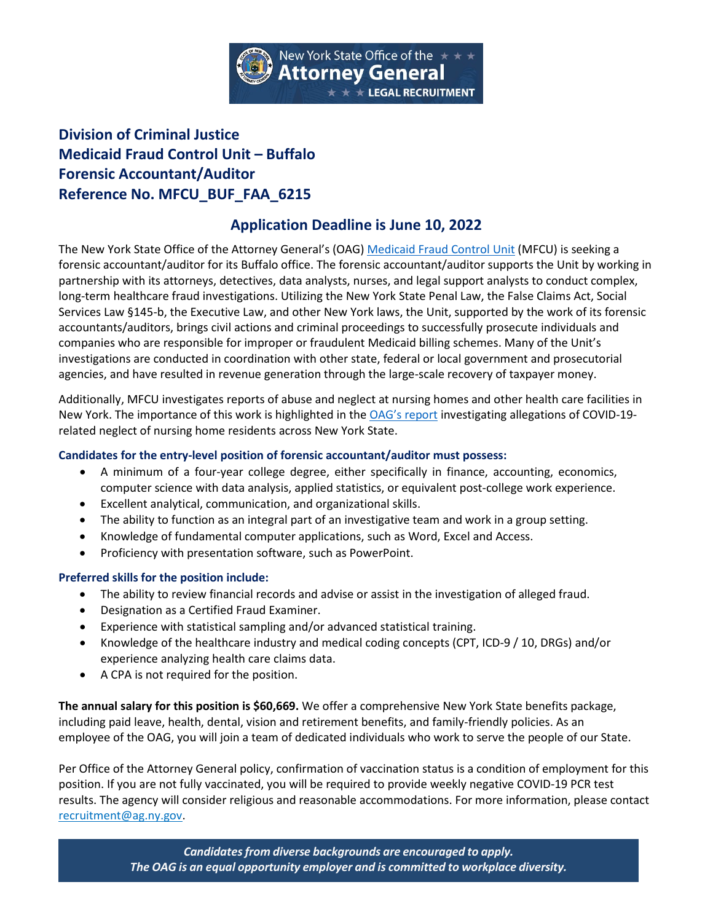

# **Division of Criminal Justice Medicaid Fraud Control Unit – Buffalo Forensic Accountant/Auditor Reference No. MFCU\_BUF\_FAA\_6215**

## **Application Deadline is June 10, 2022**

The New York State Office of the Attorney General's (OAG) [Medicaid Fraud Control Unit](https://ag.ny.gov/bureau/medicaid-fraud-control-unit) (MFCU) is seeking a forensic accountant/auditor for its Buffalo office. The forensic accountant/auditor supports the Unit by working in partnership with its attorneys, detectives, data analysts, nurses, and legal support analysts to conduct complex, long-term healthcare fraud investigations. Utilizing the New York State Penal Law, the False Claims Act, Social Services Law §145-b, the Executive Law, and other New York laws, the Unit, supported by the work of its forensic accountants/auditors, brings civil actions and criminal proceedings to successfully prosecute individuals and companies who are responsible for improper or fraudulent Medicaid billing schemes. Many of the Unit's investigations are conducted in coordination with other state, federal or local government and prosecutorial agencies, and have resulted in revenue generation through the large-scale recovery of taxpayer money.

Additionally, MFCU investigates reports of abuse and neglect at nursing homes and other health care facilities in New York. The importance of this work is highlighted in the [OAG's report](https://ag.ny.gov/sites/default/files/2021-nursinghomesreport.pdf) investigating allegations of COVID-19 related neglect of nursing home residents across New York State.

#### **Candidates for the entry-level position of forensic accountant/auditor must possess:**

- A minimum of a four-year college degree, either specifically in finance, accounting, economics, computer science with data analysis, applied statistics, or equivalent post-college work experience.
- Excellent analytical, communication, and organizational skills.
- The ability to function as an integral part of an investigative team and work in a group setting.
- Knowledge of fundamental computer applications, such as Word, Excel and Access.
- Proficiency with presentation software, such as PowerPoint.

#### **Preferred skills for the position include:**

- The ability to review financial records and advise or assist in the investigation of alleged fraud.
- Designation as a Certified Fraud Examiner.
- Experience with statistical sampling and/or advanced statistical training.
- Knowledge of the healthcare industry and medical coding concepts (CPT, ICD-9 / 10, DRGs) and/or experience analyzing health care claims data.
- A CPA is not required for the position.

**The annual salary for this position is \$60,669.** We offer a comprehensive New York State benefits package, including paid leave, health, dental, vision and retirement benefits, and family-friendly policies. As an employee of the OAG, you will join a team of dedicated individuals who work to serve the people of our State.

Per Office of the Attorney General policy, confirmation of vaccination status is a condition of employment for this position. If you are not fully vaccinated, you will be required to provide weekly negative COVID-19 PCR test results. The agency will consider religious and reasonable accommodations. For more information, please contact [recruitment@ag.ny.gov.](mailto:Recruitment@ag.ny.gov)

> *Candidatesfrom diverse backgrounds are encouraged to apply. The OAG is an equal opportunity employer and is committed to workplace diversity.*